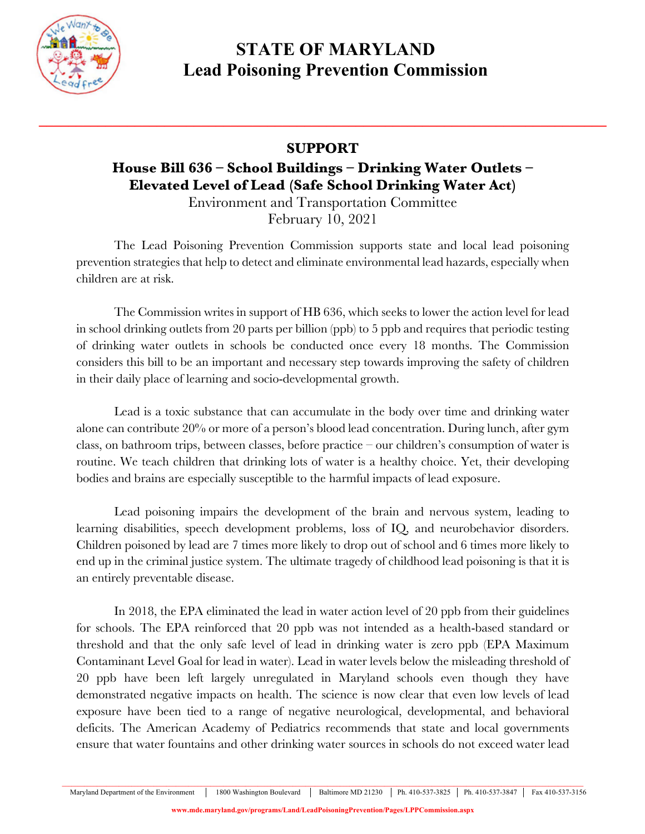

## **STATE OF MARYLAND Lead Poisoning Prevention Commission**

## **SUPPORT**

**\_\_\_\_\_\_\_\_\_\_\_\_\_\_\_\_\_\_\_\_\_\_\_\_\_\_\_\_\_\_\_\_\_\_\_\_\_\_\_\_\_\_\_\_\_\_\_\_\_\_\_\_\_\_\_\_\_\_\_\_\_\_\_\_\_\_\_\_\_\_\_\_\_\_\_\_\_**

## **House Bill 636 – School Buildings – Drinking Water Outlets – Elevated Level of Lead (Safe School Drinking Water Act)**

Environment and Transportation Committee February 10, 2021

The Lead Poisoning Prevention Commission supports state and local lead poisoning prevention strategies that help to detect and eliminate environmental lead hazards, especially when children are at risk.

The Commission writes in support of HB 636, which seeks to lower the action level for lead in school drinking outlets from 20 parts per billion (ppb) to 5 ppb and requires that periodic testing of drinking water outlets in schools be conducted once every 18 months. The Commission considers this bill to be an important and necessary step towards improving the safety of children in their daily place of learning and socio-developmental growth.

Lead is a toxic substance that can accumulate in the body over time and drinking water alone can contribute 20% or more of a person's blood lead concentration. During lunch, after gym class, on bathroom trips, between classes, before practice – our children's consumption of water is routine. We teach children that drinking lots of water is a healthy choice. Yet, their developing bodies and brains are especially susceptible to the harmful impacts of lead exposure.

Lead poisoning impairs the development of the brain and nervous system, leading to learning disabilities, speech development problems, loss of IQ, and neurobehavior disorders. Children poisoned by lead are 7 times more likely to drop out of school and 6 times more likely to end up in the criminal justice system. The ultimate tragedy of childhood lead poisoning is that it is an entirely preventable disease.

In 2018, the EPA eliminated the lead in water action level of 20 ppb from their guidelines for schools. The EPA reinforced that 20 ppb was not intended as a health-based standard or threshold and that the only safe level of lead in drinking water is zero ppb (EPA Maximum Contaminant Level Goal for lead in water). Lead in water levels below the misleading threshold of 20 ppb have been left largely unregulated in Maryland schools even though they have demonstrated negative impacts on health. The science is now clear that even low levels of lead exposure have been tied to a range of negative neurological, developmental, and behavioral deficits. The American Academy of Pediatrics recommends that state and local governments ensure that water fountains and other drinking water sources in schools do not exceed water lead